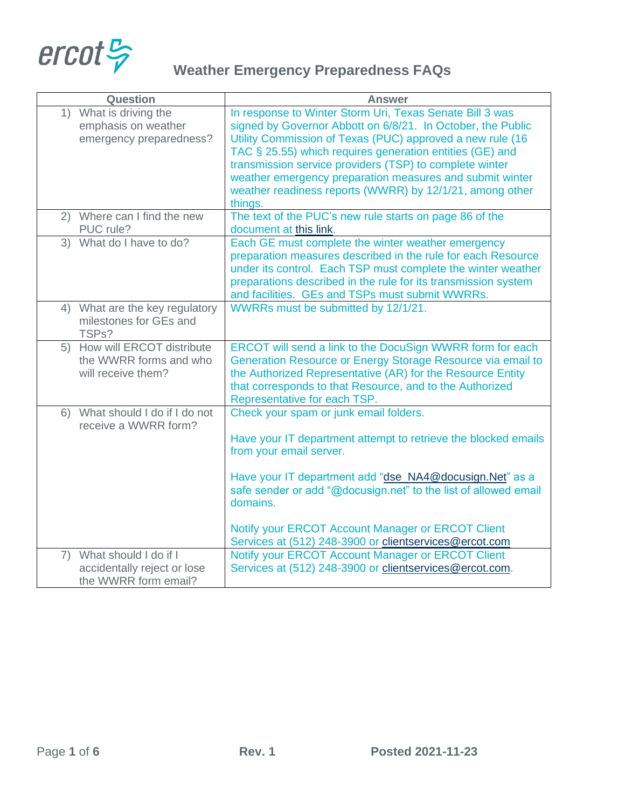

| <b>Question</b>                                                                    | <b>Answer</b>                                                                                                                                                                                                                                                                                                                                                                                                                                  |
|------------------------------------------------------------------------------------|------------------------------------------------------------------------------------------------------------------------------------------------------------------------------------------------------------------------------------------------------------------------------------------------------------------------------------------------------------------------------------------------------------------------------------------------|
| 1) What is driving the<br>emphasis on weather<br>emergency preparedness?           | In response to Winter Storm Uri, Texas Senate Bill 3 was<br>signed by Governor Abbott on 6/8/21. In October, the Public<br>Utility Commission of Texas (PUC) approved a new rule (16<br>TAC § 25.55) which requires generation entities (GE) and<br>transmission service providers (TSP) to complete winter<br>weather emergency preparation measures and submit winter<br>weather readiness reports (WWRR) by 12/1/21, among other<br>things. |
| 2) Where can I find the new<br>PUC rule?                                           | The text of the PUC's new rule starts on page 86 of the<br>document at this link.                                                                                                                                                                                                                                                                                                                                                              |
| 3) What do I have to do?                                                           | Each GE must complete the winter weather emergency<br>preparation measures described in the rule for each Resource<br>under its control. Each TSP must complete the winter weather<br>preparations described in the rule for its transmission system<br>and facilities. GEs and TSPs must submit WWRRs.                                                                                                                                        |
| 4) What are the key regulatory<br>milestones for GEs and<br>TSPs?                  | WWRRs must be submitted by 12/1/21.                                                                                                                                                                                                                                                                                                                                                                                                            |
| 5) How will ERCOT distribute<br>the WWRR forms and who<br>will receive them?       | ERCOT will send a link to the DocuSign WWRR form for each<br>Generation Resource or Energy Storage Resource via email to<br>the Authorized Representative (AR) for the Resource Entity<br>that corresponds to that Resource, and to the Authorized<br>Representative for each TSP.                                                                                                                                                             |
| 6) What should I do if $\overline{1}$ do not<br>receive a WWRR form?               | Check your spam or junk email folders.<br>Have your IT department attempt to retrieve the blocked emails<br>from your email server.<br>Have your IT department add "dse_NA4@docusign.Net" as a<br>safe sender or add "@docusign.net" to the list of allowed email<br>domains.<br>Notify your ERCOT Account Manager or ERCOT Client<br>Services at (512) 248-3900 or clientservices@ercot.com                                                   |
| What should I do if I<br>7)<br>accidentally reject or lose<br>the WWRR form email? | Notify your ERCOT Account Manager or ERCOT Client<br>Services at (512) 248-3900 or clientservices@ercot.com.                                                                                                                                                                                                                                                                                                                                   |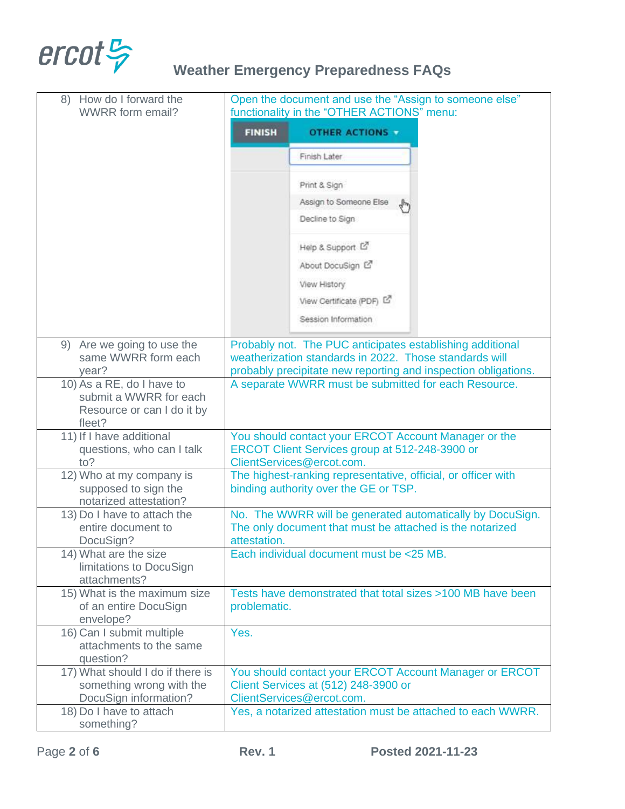

| How do I forward the<br>8)<br><b>WWRR</b> form email?                                       | Open the document and use the "Assign to someone else"<br>functionality in the "OTHER ACTIONS" menu:                                                                                  |
|---------------------------------------------------------------------------------------------|---------------------------------------------------------------------------------------------------------------------------------------------------------------------------------------|
|                                                                                             | <b>FINISH</b><br><b>OTHER ACTIONS</b>                                                                                                                                                 |
|                                                                                             | Finish Later                                                                                                                                                                          |
|                                                                                             | Print & Sign                                                                                                                                                                          |
|                                                                                             | Assign to Someone Else                                                                                                                                                                |
|                                                                                             | Decline to Sign                                                                                                                                                                       |
|                                                                                             | Help & Support L'                                                                                                                                                                     |
|                                                                                             | About DocuSign L'                                                                                                                                                                     |
|                                                                                             | View History                                                                                                                                                                          |
|                                                                                             | View Certificate (PDF) L2                                                                                                                                                             |
|                                                                                             | Session Information                                                                                                                                                                   |
| 9) Are we going to use the<br>same WWRR form each<br>year?                                  | Probably not. The PUC anticipates establishing additional<br>weatherization standards in 2022. Those standards will<br>probably precipitate new reporting and inspection obligations. |
| 10) As a RE, do I have to<br>submit a WWRR for each<br>Resource or can I do it by<br>fleet? | A separate WWRR must be submitted for each Resource.                                                                                                                                  |
| 11) If I have additional<br>questions, who can I talk<br>to?                                | You should contact your ERCOT Account Manager or the<br>ERCOT Client Services group at 512-248-3900 or<br>ClientServices@ercot.com.                                                   |
| 12) Who at my company is<br>supposed to sign the<br>notarized attestation?                  | The highest-ranking representative, official, or officer with<br>binding authority over the GE or TSP.                                                                                |
| 13) Do I have to attach the                                                                 | No. The WWRR will be generated automatically by DocuSign.                                                                                                                             |
| entire document to<br>DocuSign?                                                             | The only document that must be attached is the notarized<br>attestation.                                                                                                              |
| 14) What are the size<br>limitations to DocuSign<br>attachments?                            | Each individual document must be <25 MB.                                                                                                                                              |
| 15) What is the maximum size                                                                | Tests have demonstrated that total sizes >100 MB have been                                                                                                                            |
| of an entire DocuSign<br>envelope?                                                          | problematic.                                                                                                                                                                          |
| 16) Can I submit multiple<br>attachments to the same<br>question?                           | Yes.                                                                                                                                                                                  |
| 17) What should I do if there is                                                            | You should contact your ERCOT Account Manager or ERCOT                                                                                                                                |
| something wrong with the<br>DocuSign information?                                           | Client Services at (512) 248-3900 or<br>ClientServices@ercot.com.                                                                                                                     |
| 18) Do I have to attach<br>something?                                                       | Yes, a notarized attestation must be attached to each WWRR.                                                                                                                           |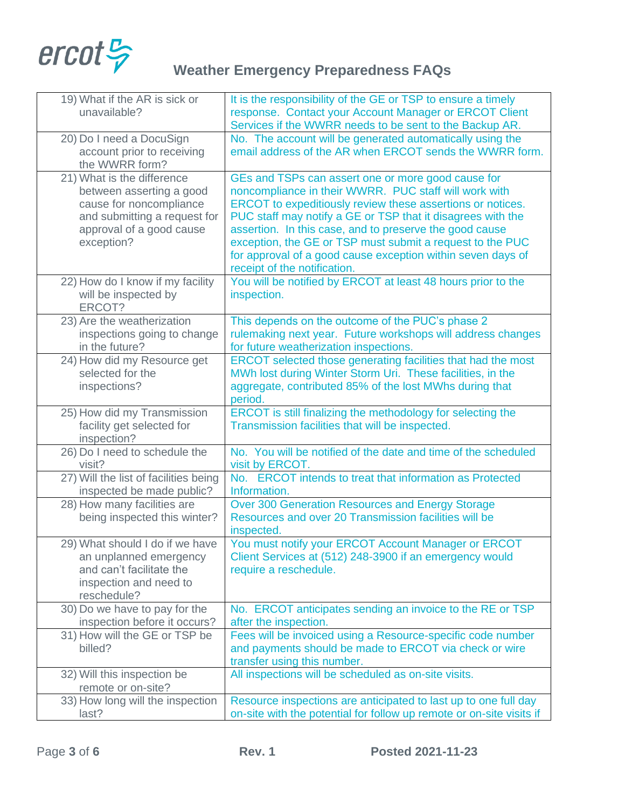

| 19) What if the AR is sick or<br>unavailable?                                                                                                               | It is the responsibility of the GE or TSP to ensure a timely<br>response. Contact your Account Manager or ERCOT Client<br>Services if the WWRR needs to be sent to the Backup AR.                                                                                                                                                                                                                                                                               |
|-------------------------------------------------------------------------------------------------------------------------------------------------------------|-----------------------------------------------------------------------------------------------------------------------------------------------------------------------------------------------------------------------------------------------------------------------------------------------------------------------------------------------------------------------------------------------------------------------------------------------------------------|
| 20) Do I need a DocuSign<br>account prior to receiving<br>the WWRR form?                                                                                    | No. The account will be generated automatically using the<br>email address of the AR when ERCOT sends the WWRR form.                                                                                                                                                                                                                                                                                                                                            |
| 21) What is the difference<br>between asserting a good<br>cause for noncompliance<br>and submitting a request for<br>approval of a good cause<br>exception? | GEs and TSPs can assert one or more good cause for<br>noncompliance in their WWRR. PUC staff will work with<br>ERCOT to expeditiously review these assertions or notices.<br>PUC staff may notify a GE or TSP that it disagrees with the<br>assertion. In this case, and to preserve the good cause<br>exception, the GE or TSP must submit a request to the PUC<br>for approval of a good cause exception within seven days of<br>receipt of the notification. |
| 22) How do I know if my facility<br>will be inspected by<br>ERCOT?                                                                                          | You will be notified by ERCOT at least 48 hours prior to the<br>inspection.                                                                                                                                                                                                                                                                                                                                                                                     |
| 23) Are the weatherization<br>inspections going to change<br>in the future?                                                                                 | This depends on the outcome of the PUC's phase 2<br>rulemaking next year. Future workshops will address changes<br>for future weatherization inspections.                                                                                                                                                                                                                                                                                                       |
| 24) How did my Resource get<br>selected for the<br>inspections?                                                                                             | ERCOT selected those generating facilities that had the most<br>MWh lost during Winter Storm Uri. These facilities, in the<br>aggregate, contributed 85% of the lost MWhs during that<br>period.                                                                                                                                                                                                                                                                |
| 25) How did my Transmission<br>facility get selected for<br>inspection?                                                                                     | ERCOT is still finalizing the methodology for selecting the<br>Transmission facilities that will be inspected.                                                                                                                                                                                                                                                                                                                                                  |
| 26) Do I need to schedule the<br>visit?                                                                                                                     | No. You will be notified of the date and time of the scheduled<br>visit by ERCOT.                                                                                                                                                                                                                                                                                                                                                                               |
| 27) Will the list of facilities being<br>inspected be made public?                                                                                          | No. ERCOT intends to treat that information as Protected<br>Information.                                                                                                                                                                                                                                                                                                                                                                                        |
| 28) How many facilities are<br>being inspected this winter?                                                                                                 | Over 300 Generation Resources and Energy Storage<br>Resources and over 20 Transmission facilities will be<br>inspected.                                                                                                                                                                                                                                                                                                                                         |
| 29) What should I do if we have<br>an unplanned emergency<br>and can't facilitate the<br>inspection and need to<br>reschedule?                              | You must notify your ERCOT Account Manager or ERCOT<br>Client Services at (512) 248-3900 if an emergency would<br>require a reschedule.                                                                                                                                                                                                                                                                                                                         |
| 30) Do we have to pay for the<br>inspection before it occurs?                                                                                               | No. ERCOT anticipates sending an invoice to the RE or TSP<br>after the inspection.                                                                                                                                                                                                                                                                                                                                                                              |
| 31) How will the GE or TSP be<br>billed?                                                                                                                    | Fees will be invoiced using a Resource-specific code number<br>and payments should be made to ERCOT via check or wire<br>transfer using this number.                                                                                                                                                                                                                                                                                                            |
| 32) Will this inspection be<br>remote or on-site?                                                                                                           | All inspections will be scheduled as on-site visits.                                                                                                                                                                                                                                                                                                                                                                                                            |
| 33) How long will the inspection<br>last?                                                                                                                   | Resource inspections are anticipated to last up to one full day<br>on-site with the potential for follow up remote or on-site visits if                                                                                                                                                                                                                                                                                                                         |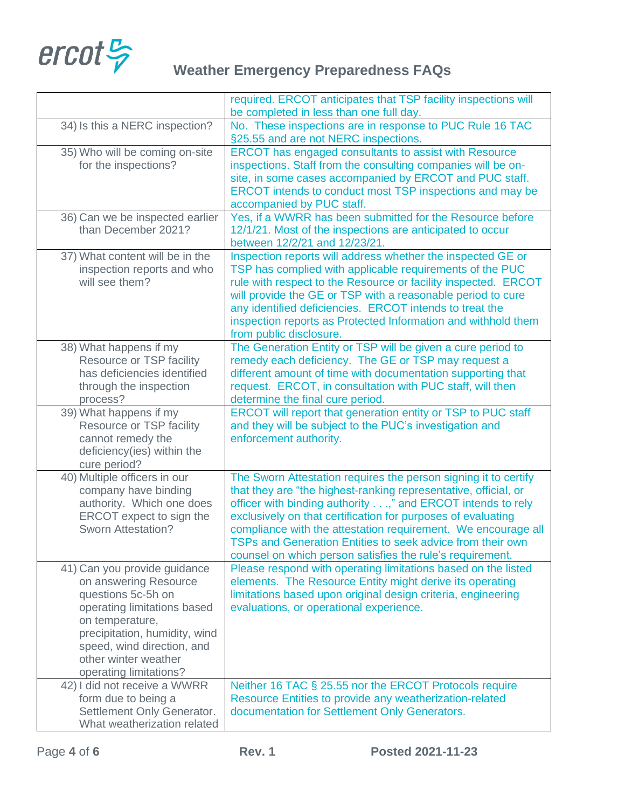

|                                                                                                                                                                                                                                                | required. ERCOT anticipates that TSP facility inspections will                                                                                                                                                                                                                                                                                                                                                                                               |
|------------------------------------------------------------------------------------------------------------------------------------------------------------------------------------------------------------------------------------------------|--------------------------------------------------------------------------------------------------------------------------------------------------------------------------------------------------------------------------------------------------------------------------------------------------------------------------------------------------------------------------------------------------------------------------------------------------------------|
|                                                                                                                                                                                                                                                | be completed in less than one full day.                                                                                                                                                                                                                                                                                                                                                                                                                      |
| 34) Is this a NERC inspection?                                                                                                                                                                                                                 | No. These inspections are in response to PUC Rule 16 TAC<br>§25.55 and are not NERC inspections.                                                                                                                                                                                                                                                                                                                                                             |
| 35) Who will be coming on-site<br>for the inspections?                                                                                                                                                                                         | <b>ERCOT</b> has engaged consultants to assist with Resource<br>inspections. Staff from the consulting companies will be on-<br>site, in some cases accompanied by ERCOT and PUC staff.<br>ERCOT intends to conduct most TSP inspections and may be<br>accompanied by PUC staff.                                                                                                                                                                             |
| 36) Can we be inspected earlier<br>than December 2021?                                                                                                                                                                                         | Yes, if a WWRR has been submitted for the Resource before<br>12/1/21. Most of the inspections are anticipated to occur<br>between 12/2/21 and 12/23/21.                                                                                                                                                                                                                                                                                                      |
| 37) What content will be in the<br>inspection reports and who<br>will see them?                                                                                                                                                                | Inspection reports will address whether the inspected GE or<br>TSP has complied with applicable requirements of the PUC<br>rule with respect to the Resource or facility inspected. ERCOT<br>will provide the GE or TSP with a reasonable period to cure<br>any identified deficiencies. ERCOT intends to treat the<br>inspection reports as Protected Information and withhold them<br>from public disclosure.                                              |
| 38) What happens if my<br>Resource or TSP facility<br>has deficiencies identified<br>through the inspection<br>process?                                                                                                                        | The Generation Entity or TSP will be given a cure period to<br>remedy each deficiency. The GE or TSP may request a<br>different amount of time with documentation supporting that<br>request. ERCOT, in consultation with PUC staff, will then<br>determine the final cure period.                                                                                                                                                                           |
| 39) What happens if my<br>Resource or TSP facility<br>cannot remedy the<br>deficiency(ies) within the<br>cure period?                                                                                                                          | ERCOT will report that generation entity or TSP to PUC staff<br>and they will be subject to the PUC's investigation and<br>enforcement authority.                                                                                                                                                                                                                                                                                                            |
| 40) Multiple officers in our<br>company have binding<br>authority. Which one does<br>ERCOT expect to sign the<br><b>Sworn Attestation?</b>                                                                                                     | The Sworn Attestation requires the person signing it to certify<br>that they are "the highest-ranking representative, official, or<br>officer with binding authority," and ERCOT intends to rely<br>exclusively on that certification for purposes of evaluating<br>compliance with the attestation requirement. We encourage all<br>TSPs and Generation Entities to seek advice from their own<br>counsel on which person satisfies the rule's requirement. |
| 41) Can you provide guidance<br>on answering Resource<br>questions 5c-5h on<br>operating limitations based<br>on temperature,<br>precipitation, humidity, wind<br>speed, wind direction, and<br>other winter weather<br>operating limitations? | Please respond with operating limitations based on the listed<br>elements. The Resource Entity might derive its operating<br>limitations based upon original design criteria, engineering<br>evaluations, or operational experience.                                                                                                                                                                                                                         |
| 42) I did not receive a WWRR<br>form due to being a<br>Settlement Only Generator.<br>What weatherization related                                                                                                                               | Neither 16 TAC § 25.55 nor the ERCOT Protocols require<br>Resource Entities to provide any weatherization-related<br>documentation for Settlement Only Generators.                                                                                                                                                                                                                                                                                           |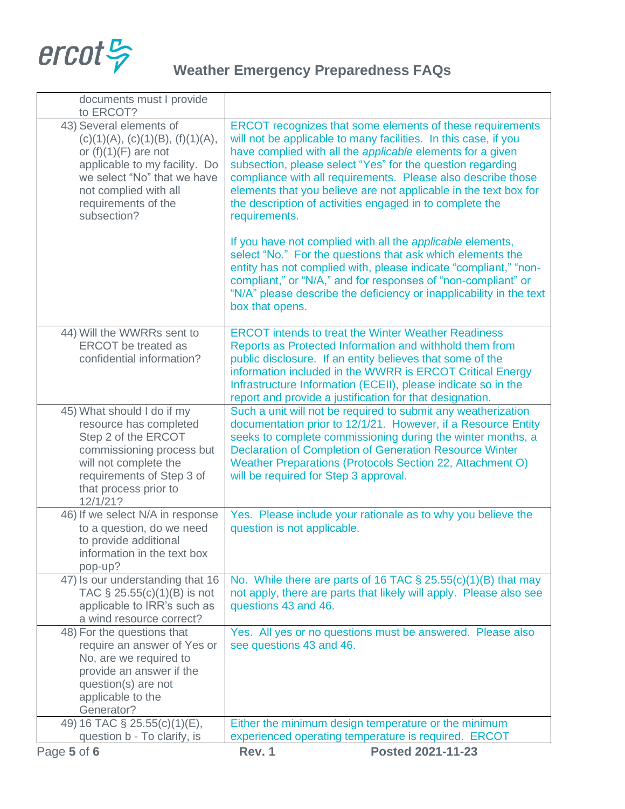

| question b - To clarify, is<br>Page 5 of 6                         | experienced operating temperature is required. ERCOT<br>Rev. 1<br>Posted 2021-11-23                                                    |
|--------------------------------------------------------------------|----------------------------------------------------------------------------------------------------------------------------------------|
| 49) 16 TAC § 25.55(c)(1)(E),                                       | Either the minimum design temperature or the minimum                                                                                   |
| Generator?                                                         |                                                                                                                                        |
| question(s) are not<br>applicable to the                           |                                                                                                                                        |
| provide an answer if the                                           |                                                                                                                                        |
| No, are we required to                                             |                                                                                                                                        |
| require an answer of Yes or                                        | see questions 43 and 46.                                                                                                               |
| a wind resource correct?<br>48) For the questions that             | Yes. All yes or no questions must be answered. Please also                                                                             |
| applicable to IRR's such as                                        | questions 43 and 46.                                                                                                                   |
| 47) Is our understanding that 16<br>TAC $\S$ 25.55(c)(1)(B) is not | No. While there are parts of 16 TAC $\S$ 25.55(c)(1)(B) that may<br>not apply, there are parts that likely will apply. Please also see |
| pop-up?                                                            |                                                                                                                                        |
| information in the text box                                        |                                                                                                                                        |
| to a question, do we need<br>to provide additional                 | question is not applicable.                                                                                                            |
| 46) If we select N/A in response                                   | Yes. Please include your rationale as to why you believe the                                                                           |
| 12/1/21?                                                           |                                                                                                                                        |
| that process prior to                                              |                                                                                                                                        |
| will not complete the<br>requirements of Step 3 of                 | <b>Weather Preparations (Protocols Section 22, Attachment O)</b><br>will be required for Step 3 approval.                              |
| commissioning process but                                          | <b>Declaration of Completion of Generation Resource Winter</b>                                                                         |
| Step 2 of the ERCOT                                                | seeks to complete commissioning during the winter months, a                                                                            |
| resource has completed                                             | documentation prior to 12/1/21. However, if a Resource Entity                                                                          |
| 45) What should I do if my                                         | Such a unit will not be required to submit any weatherization                                                                          |
|                                                                    | Infrastructure Information (ECEII), please indicate so in the<br>report and provide a justification for that designation.              |
| confidential information?                                          | public disclosure. If an entity believes that some of the<br>information included in the WWRR is ERCOT Critical Energy                 |
| <b>ERCOT</b> be treated as                                         | Reports as Protected Information and withhold them from                                                                                |
| 44) Will the WWRRs sent to                                         | <b>ERCOT</b> intends to treat the Winter Weather Readiness                                                                             |
|                                                                    | box that opens.                                                                                                                        |
|                                                                    | "N/A" please describe the deficiency or inapplicability in the text                                                                    |
|                                                                    | compliant," or "N/A," and for responses of "non-compliant" or                                                                          |
|                                                                    | select "No." For the questions that ask which elements the<br>entity has not complied with, please indicate "compliant," "non-         |
|                                                                    | If you have not complied with all the applicable elements,                                                                             |
|                                                                    |                                                                                                                                        |
| requirements of the<br>subsection?                                 | the description of activities engaged in to complete the<br>requirements.                                                              |
| not complied with all                                              | elements that you believe are not applicable in the text box for                                                                       |
| we select "No" that we have                                        | compliance with all requirements. Please also describe those                                                                           |
| or $(f)(1)(F)$ are not<br>applicable to my facility. Do            | have complied with all the applicable elements for a given<br>subsection, please select "Yes" for the question regarding               |
| (c)(1)(A), (c)(1)(B), (f)(1)(A),                                   | will not be applicable to many facilities. In this case, if you                                                                        |
| 43) Several elements of                                            | ERCOT recognizes that some elements of these requirements                                                                              |
| to ERCOT?                                                          |                                                                                                                                        |
| documents must I provide                                           |                                                                                                                                        |